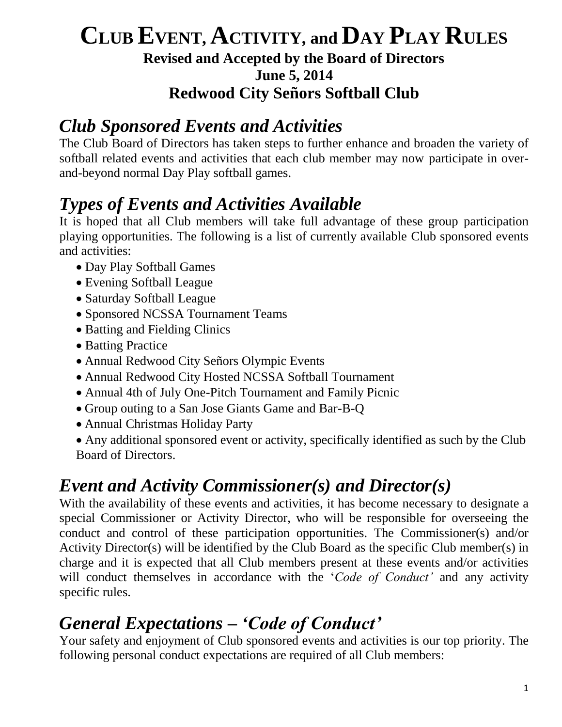#### **CLUB EVENT, ACTIVITY, and DAY PLAY RULES Revised and Accepted by the Board of Directors June 5, 2014 Redwood City Señors Softball Club**

#### *Club Sponsored Events and Activities*

The Club Board of Directors has taken steps to further enhance and broaden the variety of softball related events and activities that each club member may now participate in overand-beyond normal Day Play softball games.

## *Types of Events and Activities Available*

It is hoped that all Club members will take full advantage of these group participation playing opportunities. The following is a list of currently available Club sponsored events and activities:

- Day Play Softball Games
- Evening Softball League
- Saturday Softball League
- Sponsored NCSSA Tournament Teams
- Batting and Fielding Clinics
- Batting Practice
- Annual Redwood City Señors Olympic Events
- Annual Redwood City Hosted NCSSA Softball Tournament
- Annual 4th of July One-Pitch Tournament and Family Picnic
- Group outing to a San Jose Giants Game and Bar-B-Q
- Annual Christmas Holiday Party
- Any additional sponsored event or activity, specifically identified as such by the Club Board of Directors.

#### *Event and Activity Commissioner(s) and Director(s)*

With the availability of these events and activities, it has become necessary to designate a special Commissioner or Activity Director, who will be responsible for overseeing the conduct and control of these participation opportunities. The Commissioner(s) and/or Activity Director(s) will be identified by the Club Board as the specific Club member(s) in charge and it is expected that all Club members present at these events and/or activities will conduct themselves in accordance with the '*Code of Conduct'* and any activity specific rules.

# *General Expectations – 'Code of Conduct'*

Your safety and enjoyment of Club sponsored events and activities is our top priority. The following personal conduct expectations are required of all Club members: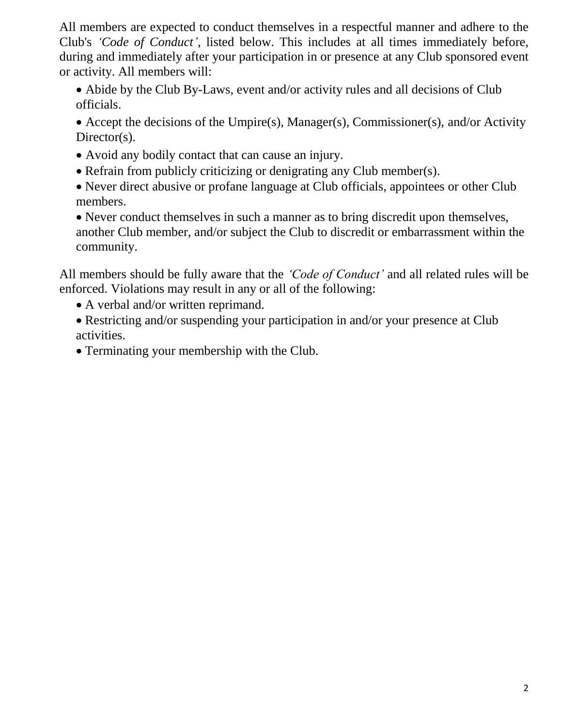All members are expected to conduct themselves in a respectful manner and adhere to the Club's *'Code of Conduct'*, listed below. This includes at all times immediately before, during and immediately after your participation in or presence at any Club sponsored event or activity. All members will:

 Abide by the Club By-Laws, event and/or activity rules and all decisions of Club officials.

 Accept the decisions of the Umpire(s), Manager(s), Commissioner(s), and/or Activity Director(s).

- Avoid any bodily contact that can cause an injury.
- Refrain from publicly criticizing or denigrating any Club member(s).
- Never direct abusive or profane language at Club officials, appointees or other Club members.

• Never conduct themselves in such a manner as to bring discredit upon themselves, another Club member, and/or subject the Club to discredit or embarrassment within the community.

All members should be fully aware that the *'Code of Conduct'* and all related rules will be enforced. Violations may result in any or all of the following:

- A verbal and/or written reprimand.
- Restricting and/or suspending your participation in and/or your presence at Club activities.
- Terminating your membership with the Club.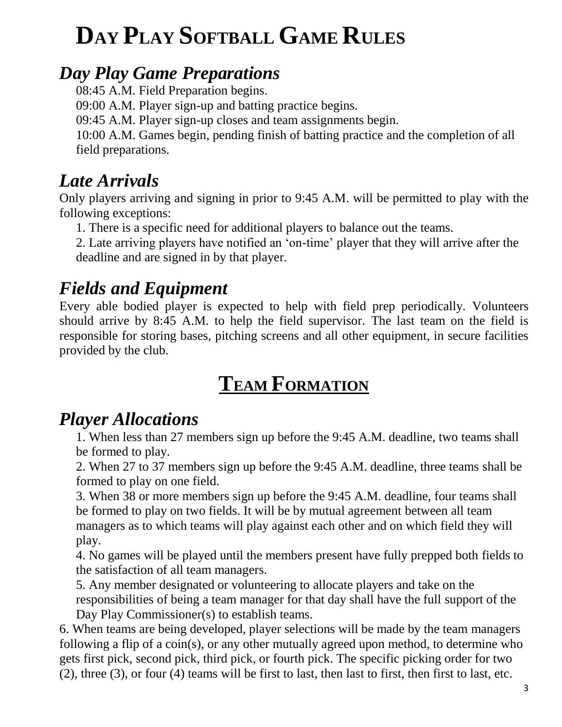# **DAY PLAY SOFTBALL GAME RULES**

#### *Day Play Game Preparations*

08:45 A.M. Field Preparation begins.

09:00 A.M. Player sign-up and batting practice begins.

09:45 A.M. Player sign-up closes and team assignments begin.

10:00 A.M. Games begin, pending finish of batting practice and the completion of all field preparations.

#### *Late Arrivals*

Only players arriving and signing in prior to 9:45 A.M. will be permitted to play with the following exceptions:

1. There is a specific need for additional players to balance out the teams.

2. Late arriving players have notified an 'on-time' player that they will arrive after the deadline and are signed in by that player.

# *Fields and Equipment*

Every able bodied player is expected to help with field prep periodically. Volunteers should arrive by 8:45 A.M. to help the field supervisor. The last team on the field is responsible for storing bases, pitching screens and all other equipment, in secure facilities provided by the club.

# **TEAM FORMATION**

#### *Player Allocations*

1. When less than 27 members sign up before the 9:45 A.M. deadline, two teams shall be formed to play.

2. When 27 to 37 members sign up before the 9:45 A.M. deadline, three teams shall be formed to play on one field.

3. When 38 or more members sign up before the 9:45 A.M. deadline, four teams shall be formed to play on two fields. It will be by mutual agreement between all team managers as to which teams will play against each other and on which field they will play.

4. No games will be played until the members present have fully prepped both fields to the satisfaction of all team managers.

5. Any member designated or volunteering to allocate players and take on the responsibilities of being a team manager for that day shall have the full support of the Day Play Commissioner(s) to establish teams.

6. When teams are being developed, player selections will be made by the team managers following a flip of a coin(s), or any other mutually agreed upon method, to determine who gets first pick, second pick, third pick, or fourth pick. The specific picking order for two (2), three (3), or four (4) teams will be first to last, then last to first, then first to last, etc.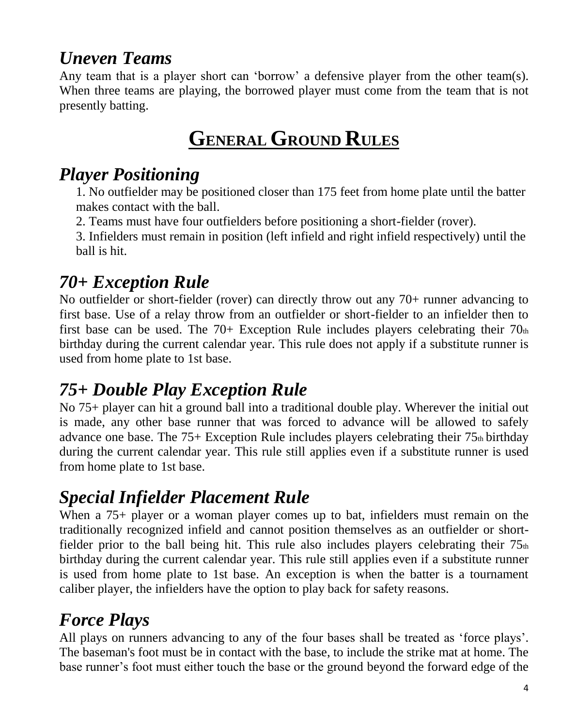# *Uneven Teams*

Any team that is a player short can 'borrow' a defensive player from the other team(s). When three teams are playing, the borrowed player must come from the team that is not presently batting.

# **GENERAL GROUND RULES**

#### *Player Positioning*

1. No outfielder may be positioned closer than 175 feet from home plate until the batter makes contact with the ball.

2. Teams must have four outfielders before positioning a short-fielder (rover).

3. Infielders must remain in position (left infield and right infield respectively) until the ball is hit.

#### *70+ Exception Rule*

No outfielder or short-fielder (rover) can directly throw out any 70+ runner advancing to first base. Use of a relay throw from an outfielder or short-fielder to an infielder then to first base can be used. The  $70+$  Exception Rule includes players celebrating their  $70<sub>th</sub>$ birthday during the current calendar year. This rule does not apply if a substitute runner is used from home plate to 1st base.

#### *75+ Double Play Exception Rule*

No 75+ player can hit a ground ball into a traditional double play. Wherever the initial out is made, any other base runner that was forced to advance will be allowed to safely advance one base. The  $75+$  Exception Rule includes players celebrating their  $75<sub>th</sub>$  birthday during the current calendar year. This rule still applies even if a substitute runner is used from home plate to 1st base.

# *Special Infielder Placement Rule*

When a 75+ player or a woman player comes up to bat, infielders must remain on the traditionally recognized infield and cannot position themselves as an outfielder or shortfielder prior to the ball being hit. This rule also includes players celebrating their  $75<sub>th</sub>$ birthday during the current calendar year. This rule still applies even if a substitute runner is used from home plate to 1st base. An exception is when the batter is a tournament caliber player, the infielders have the option to play back for safety reasons.

## *Force Plays*

All plays on runners advancing to any of the four bases shall be treated as 'force plays'. The baseman's foot must be in contact with the base, to include the strike mat at home. The base runner's foot must either touch the base or the ground beyond the forward edge of the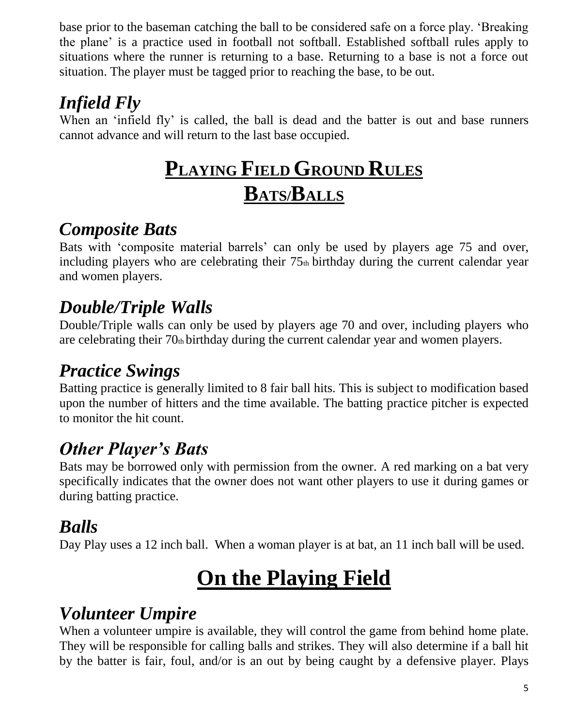base prior to the baseman catching the ball to be considered safe on a force play. 'Breaking the plane' is a practice used in football not softball. Established softball rules apply to situations where the runner is returning to a base. Returning to a base is not a force out situation. The player must be tagged prior to reaching the base, to be out.

# *Infield Fly*

When an 'infield fly' is called, the ball is dead and the batter is out and base runners cannot advance and will return to the last base occupied.

# **PLAYING FIELD GROUND RULES BATS/BALLS**

#### *Composite Bats*

Bats with 'composite material barrels' can only be used by players age 75 and over, including players who are celebrating their  $75<sub>th</sub>$  birthday during the current calendar year and women players.

## *Double/Triple Walls*

Double/Triple walls can only be used by players age 70 and over, including players who are celebrating their  $70<sub>th</sub>$  birthday during the current calendar year and women players.

# *Practice Swings*

Batting practice is generally limited to 8 fair ball hits. This is subject to modification based upon the number of hitters and the time available. The batting practice pitcher is expected to monitor the hit count.

# *Other Player's Bats*

Bats may be borrowed only with permission from the owner. A red marking on a bat very specifically indicates that the owner does not want other players to use it during games or during batting practice.

## *Balls*

Day Play uses a 12 inch ball. When a woman player is at bat, an 11 inch ball will be used.

# **On the Playing Field**

#### *Volunteer Umpire*

When a volunteer umpire is available, they will control the game from behind home plate. They will be responsible for calling balls and strikes. They will also determine if a ball hit by the batter is fair, foul, and/or is an out by being caught by a defensive player. Plays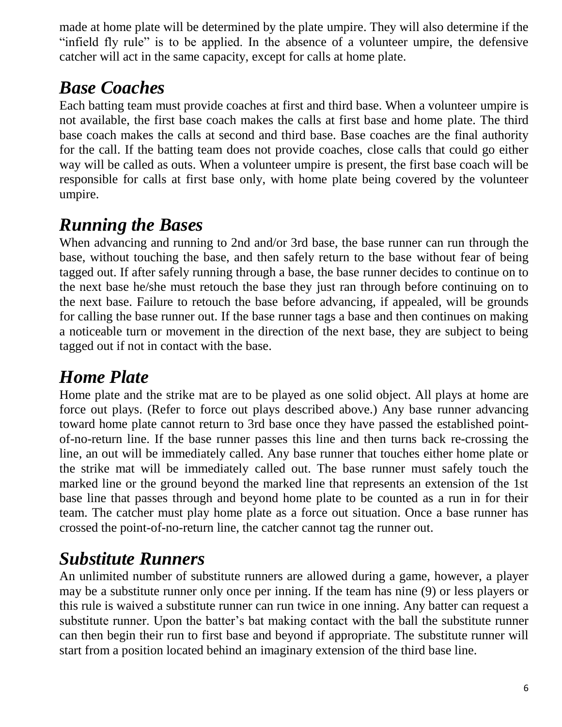made at home plate will be determined by the plate umpire. They will also determine if the "infield fly rule" is to be applied. In the absence of a volunteer umpire, the defensive catcher will act in the same capacity, except for calls at home plate.

# *Base Coaches*

Each batting team must provide coaches at first and third base. When a volunteer umpire is not available, the first base coach makes the calls at first base and home plate. The third base coach makes the calls at second and third base. Base coaches are the final authority for the call. If the batting team does not provide coaches, close calls that could go either way will be called as outs. When a volunteer umpire is present, the first base coach will be responsible for calls at first base only, with home plate being covered by the volunteer umpire.

#### *Running the Bases*

When advancing and running to 2nd and/or 3rd base, the base runner can run through the base, without touching the base, and then safely return to the base without fear of being tagged out. If after safely running through a base, the base runner decides to continue on to the next base he/she must retouch the base they just ran through before continuing on to the next base. Failure to retouch the base before advancing, if appealed, will be grounds for calling the base runner out. If the base runner tags a base and then continues on making a noticeable turn or movement in the direction of the next base, they are subject to being tagged out if not in contact with the base.

#### *Home Plate*

Home plate and the strike mat are to be played as one solid object. All plays at home are force out plays. (Refer to force out plays described above.) Any base runner advancing toward home plate cannot return to 3rd base once they have passed the established pointof-no-return line. If the base runner passes this line and then turns back re-crossing the line, an out will be immediately called. Any base runner that touches either home plate or the strike mat will be immediately called out. The base runner must safely touch the marked line or the ground beyond the marked line that represents an extension of the 1st base line that passes through and beyond home plate to be counted as a run in for their team. The catcher must play home plate as a force out situation. Once a base runner has crossed the point-of-no-return line, the catcher cannot tag the runner out.

## *Substitute Runners*

An unlimited number of substitute runners are allowed during a game, however, a player may be a substitute runner only once per inning. If the team has nine (9) or less players or this rule is waived a substitute runner can run twice in one inning. Any batter can request a substitute runner. Upon the batter's bat making contact with the ball the substitute runner can then begin their run to first base and beyond if appropriate. The substitute runner will start from a position located behind an imaginary extension of the third base line.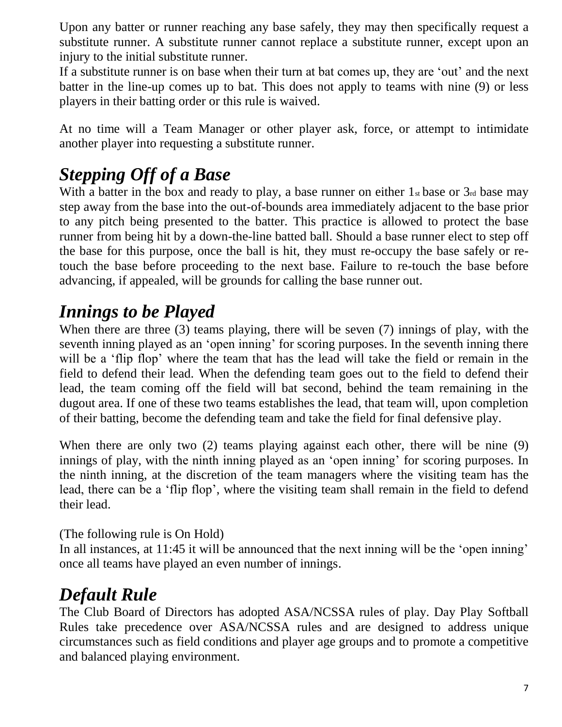Upon any batter or runner reaching any base safely, they may then specifically request a substitute runner. A substitute runner cannot replace a substitute runner, except upon an injury to the initial substitute runner.

If a substitute runner is on base when their turn at bat comes up, they are 'out' and the next batter in the line-up comes up to bat. This does not apply to teams with nine (9) or less players in their batting order or this rule is waived.

At no time will a Team Manager or other player ask, force, or attempt to intimidate another player into requesting a substitute runner.

#### *Stepping Off of a Base*

With a batter in the box and ready to play, a base runner on either  $1<sub>st</sub>$  base or  $3<sub>rd</sub>$  base may step away from the base into the out-of-bounds area immediately adjacent to the base prior to any pitch being presented to the batter. This practice is allowed to protect the base runner from being hit by a down-the-line batted ball. Should a base runner elect to step off the base for this purpose, once the ball is hit, they must re-occupy the base safely or retouch the base before proceeding to the next base. Failure to re-touch the base before advancing, if appealed, will be grounds for calling the base runner out.

#### *Innings to be Played*

When there are three (3) teams playing, there will be seven (7) innings of play, with the seventh inning played as an 'open inning' for scoring purposes. In the seventh inning there will be a 'flip flop' where the team that has the lead will take the field or remain in the field to defend their lead. When the defending team goes out to the field to defend their lead, the team coming off the field will bat second, behind the team remaining in the dugout area. If one of these two teams establishes the lead, that team will, upon completion of their batting, become the defending team and take the field for final defensive play.

When there are only two (2) teams playing against each other, there will be nine (9) innings of play, with the ninth inning played as an 'open inning' for scoring purposes. In the ninth inning, at the discretion of the team managers where the visiting team has the lead, there can be a 'flip flop', where the visiting team shall remain in the field to defend their lead.

(The following rule is On Hold)

In all instances, at 11:45 it will be announced that the next inning will be the 'open inning' once all teams have played an even number of innings.

## *Default Rule*

The Club Board of Directors has adopted ASA/NCSSA rules of play. Day Play Softball Rules take precedence over ASA/NCSSA rules and are designed to address unique circumstances such as field conditions and player age groups and to promote a competitive and balanced playing environment.